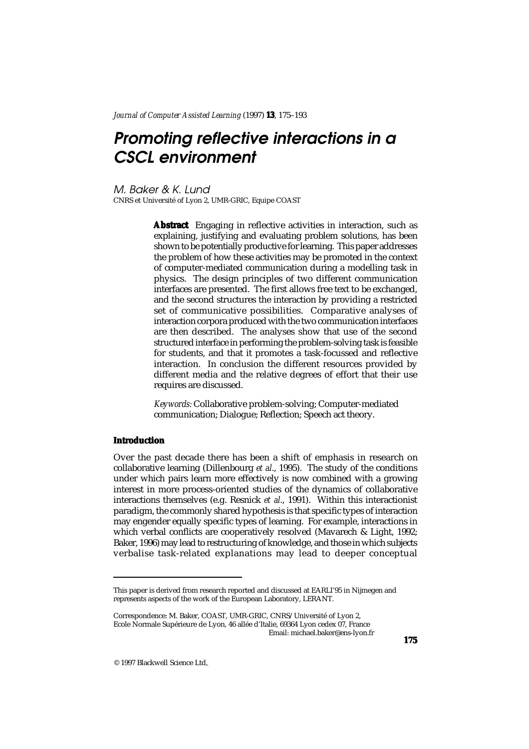# Promoting reflective interactions in a CSCL environment

M. Baker & K. Lund CNRS et Université of Lyon 2, UMR-GRIC, Equipe COAST

> **Abstract** Engaging in reflective activities in interaction, such as explaining, justifying and evaluating problem solutions, has been shown to be potentially productive for learning. This paper addresses the problem of how these activities may be promoted in the context of computer-mediated communication during a modelling task in physics. The design principles of two different communication interfaces are presented. The first allows free text to be exchanged, and the second structures the interaction by providing a restricted set of communicative possibilities. Comparative analyses of interaction corpora produced with the two communication interfaces are then described. The analyses show that use of the second structured interface in performing the problem-solving task is feasible for students, and that it promotes a task-focussed and reflective interaction. In conclusion the different resources provided by different media and the relative degrees of effort that their use requires are discussed.

*Keywords:* Collaborative problem-solving; Computer-mediated communication; Dialogue; Reflection; Speech act theory.

# **Introduction**

Over the past decade there has been a shift of emphasis in research on collaborative learning (Dillenbourg *et al*., 1995). The study of the conditions under which pairs learn more effectively is now combined with a growing interest in more process-oriented studies of the dynamics of collaborative interactions themselves (e.g. Resnick *et al*., 1991). Within this interactionist paradigm, the commonly shared hypothesis is that specific types of interaction may engender equally specific types of learning. For example, interactions in which verbal conflicts are cooperatively resolved (Mavarech & Light, 1992; Baker, 1996) may lead to restructuring of knowledge, and those in which subjects verbalise task-related explanations may lead to deeper conceptual

This paper is derived from research reported and discussed at EARLI'95 in Nijmegen and represents aspects of the work of the European Laboratory, LERANT.

Correspondence: M. Baker, COAST, UMR-GRIC, CNRS/Université of Lyon 2, Ecole Normale Supérieure de Lyon, 46 allée d'Italie, 69364 Lyon cedex 07, France Email: michael.baker@ens-lyon.fr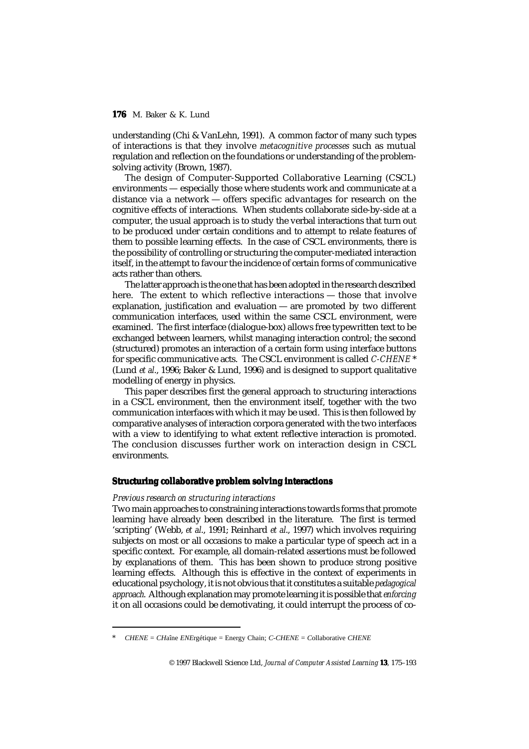understanding (Chi & VanLehn, 1991). A common factor of many such types of interactions is that they involve *metacognitive processes* such as mutual regulation and reflection on the foundations or understanding of the problemsolving activity (Brown, 1987).

The design of Computer-Supported Collaborative Learning (CSCL) environments — especially those where students work and communicate at a distance via a network — offers specific advantages for research on the cognitive effects of interactions. When students collaborate side-by-side at a computer, the usual approach is to study the verbal interactions that turn out to be produced under certain conditions and to attempt to relate features of them to possible learning effects. In the case of CSCL environments, there is the possibility of controlling or structuring the computer-mediated interaction itself, in the attempt to favour the incidence of certain forms of communicative acts rather than others.

The latter approach is the one that has been adopted in the research described here. The extent to which reflective interactions — those that involve explanation, justification and evaluation — are promoted by two different communication interfaces, used within the same CSCL environment, were examined. The first interface (dialogue-box) allows free typewritten text to be exchanged between learners, whilst managing interaction control; the second (structured) promotes an interaction of a certain form using interface buttons for specific communicative acts. The CSCL environment is called *C-CHENE* \* (Lund *et al*., 1996; Baker & Lund, 1996) and is designed to support qualitative modelling of energy in physics.

This paper describes first the general approach to structuring interactions in a CSCL environment, then the environment itself, together with the two communication interfaces with which it may be used. This is then followed by comparative analyses of interaction corpora generated with the two interfaces with a view to identifying to what extent reflective interaction is promoted. The conclusion discusses further work on interaction design in CSCL environments.

# **Structuring collaborative problem solving interactions**

#### *Previous research on structuring interactions*

Two main approaches to constraining interactions towards forms that promote learning have already been described in the literature. The first is termed 'scripting' (Webb, *et al*., 1991; Reinhard *et al*., 1997) which involves requiring subjects on most or all occasions to make a particular type of speech act in a specific context. For example, all domain-related assertions must be followed by explanations of them. This has been shown to produce strong positive learning effects. Although this is effective in the context of experiments in educational psychology, it is not obvious that it constitutes a suitable *pedagogical approach*. Although explanation may promote learning it is possible that *enforcing* it on all occasions could be demotivating, it could interrupt the process of co-

<sup>\*</sup> *CHENE* = *CH*aîne *ENE*rgétique = Energy Chain; *C-CHENE* = *C*ollaborative *CHENE*

<sup>© 1997</sup> Blackwell Science Ltd, *Journal of Computer Assisted Learning* **13**, 175–193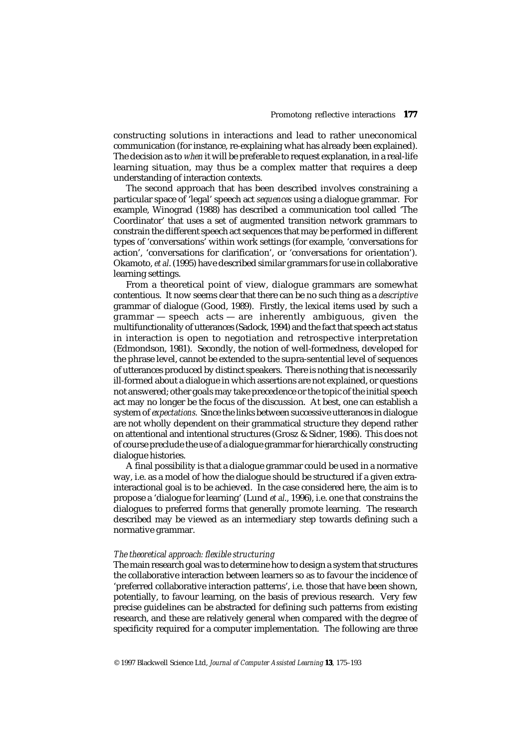constructing solutions in interactions and lead to rather uneconomical communication (for instance, re-explaining what has already been explained). The decision as to *when* it will be preferable to request explanation, in a real-life learning situation, may thus be a complex matter that requires a deep understanding of interaction contexts.

The second approach that has been described involves constraining a particular space of 'legal' speech act *sequences* using a dialogue grammar. For example, Winograd (1988) has described a communication tool called 'The Coordinator' that uses a set of augmented transition network grammars to constrain the different speech act sequences that may be performed in different types of 'conversations' within work settings (for example, 'conversations for action', 'conversations for clarification', or 'conversations for orientation'). Okamoto, *et al*. (1995) have described similar grammars for use in collaborative learning settings.

From a theoretical point of view, dialogue grammars are somewhat contentious. It now seems clear that there can be no such thing as a *descriptive* grammar of dialogue (Good, 1989). Firstly, the lexical items used by such a grammar — speech acts — are inherently ambiguous, given the multifunctionality of utterances (Sadock, 1994) and the fact that speech act status in interaction is open to negotiation and retrospective interpretation (Edmondson, 1981). Secondly, the notion of well-formedness, developed for the phrase level, cannot be extended to the supra-sentential level of sequences of utterances produced by distinct speakers. There is nothing that is necessarily ill-formed about a dialogue in which assertions are not explained, or questions not answered; other goals may take precedence or the topic of the initial speech act may no longer be the focus of the discussion. At best, one can establish a system of *expectations*. Since the links between successive utterances in dialogue are not wholly dependent on their grammatical structure they depend rather on attentional and intentional structures (Grosz & Sidner, 1986). This does not of course preclude the use of a dialogue grammar for hierarchically constructing dialogue histories.

A final possibility is that a dialogue grammar could be used in a normative way, i.e. as a model of how the dialogue should be structured if a given extrainteractional goal is to be achieved. In the case considered here, the aim is to propose a 'dialogue for learning' (Lund *et al*., 1996), i.e. one that constrains the dialogues to preferred forms that generally promote learning. The research described may be viewed as an intermediary step towards defining such a normative grammar.

#### *The theoretical approach: flexible structuring*

The main research goal was to determine how to design a system that structures the collaborative interaction between learners so as to favour the incidence of 'preferred collaborative interaction patterns', i.e. those that have been shown, potentially, to favour learning, on the basis of previous research. Very few precise guidelines can be abstracted for defining such patterns from existing research, and these are relatively general when compared with the degree of specificity required for a computer implementation. The following are three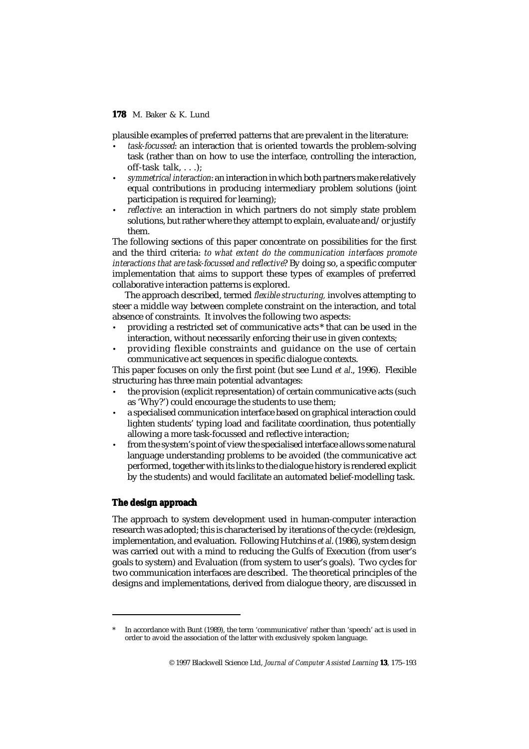plausible examples of preferred patterns that are prevalent in the literature:

- *task-focussed*: an interaction that is oriented towards the problem-solving task (rather than on how to use the interface, controlling the interaction, off-task talk, . . .);
- *symmetrical interaction*: an interaction in which both partners make relatively equal contributions in producing intermediary problem solutions (joint participation is required for learning);
- *reflective*: an interaction in which partners do not simply state problem solutions, but rather where they attempt to explain, evaluate and/or justify them.

The following sections of this paper concentrate on possibilities for the first and the third criteria: *to what extent do the communication interfaces promote interactions that are task-focussed and reflective*? By doing so, a specific computer implementation that aims to support these types of examples of preferred collaborative interaction patterns is explored.

The approach described, termed *flexible structuring,* involves attempting to steer a middle way between complete constraint on the interaction, and total absence of constraints. It involves the following two aspects:

- providing a restricted set of communicative acts \* that can be used in the interaction, without necessarily enforcing their use in given contexts;
- providing flexible constraints and guidance on the use of certain communicative act sequences in specific dialogue contexts.

This paper focuses on only the first point (but see Lund *et al*., 1996). Flexible structuring has three main potential advantages:

- the provision (explicit representation) of certain communicative acts (such as 'Why?') could encourage the students to use them;
- a specialised communication interface based on graphical interaction could lighten students' typing load and facilitate coordination, thus potentially allowing a more task-focussed and reflective interaction;
- from the system's point of view the specialised interface allows some natural language understanding problems to be avoided (the communicative act performed, together with its links to the dialogue history is rendered explicit by the students) and would facilitate an automated belief-modelling task.

# **The design approach**

The approach to system development used in human-computer interaction research was adopted; this is characterised by iterations of the cycle: (re)design, implementation, and evaluation. Following Hutchins *et al*. (1986), system design was carried out with a mind to reducing the Gulfs of Execution (from user's goals to system) and Evaluation (from system to user's goals). Two cycles for two communication interfaces are described. The theoretical principles of the designs and implementations, derived from dialogue theory, are discussed in

In accordance with Bunt (1989), the term 'communicative' rather than 'speech' act is used in order to avoid the association of the latter with exclusively spoken language.

<sup>© 1997</sup> Blackwell Science Ltd, *Journal of Computer Assisted Learning* **13**, 175–193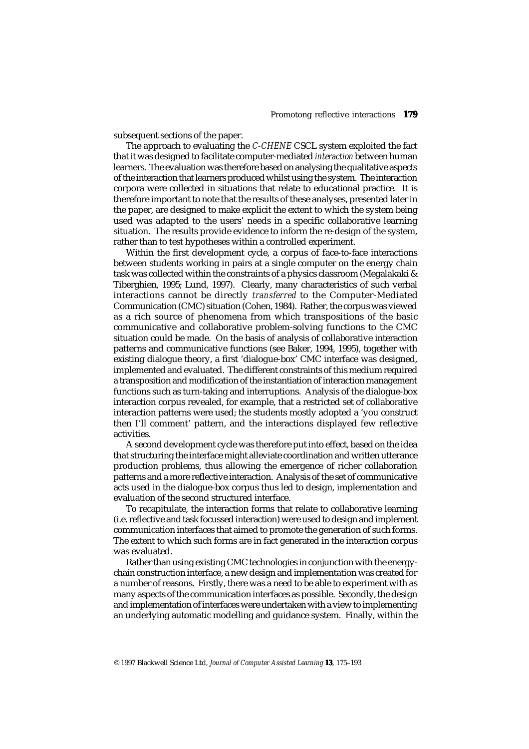subsequent sections of the paper.

The approach to evaluating the *C-CHENE* CSCL system exploited the fact that it was designed to facilitate computer-mediated *interaction* between human learners. The evaluation was therefore based on analysing the qualitative aspects of the interaction that learners produced whilst using the system. The interaction corpora were collected in situations that relate to educational practice. It is therefore important to note that the results of these analyses, presented later in the paper, are designed to make explicit the extent to which the system being used was adapted to the users' needs in a specific collaborative learning situation. The results provide evidence to inform the re-design of the system. rather than to test hypotheses within a controlled experiment.

Within the first development cycle, a corpus of face-to-face interactions between students working in pairs at a single computer on the energy chain task was collected within the constraints of a physics classroom (Megalakaki & Tiberghien, 1995; Lund, 1997). Clearly, many characteristics of such verbal interactions cannot be directly *transferred* to the Computer-Mediated Communication (CMC) situation (Cohen, 1984). Rather, the corpus was viewed as a rich source of phenomena from which transpositions of the basic communicative and collaborative problem-solving functions to the CMC situation could be made. On the basis of analysis of collaborative interaction patterns and communicative functions (see Baker, 1994, 1995), together with existing dialogue theory, a first 'dialogue-box' CMC interface was designed, implemented and evaluated. The different constraints of this medium required a transposition and modification of the instantiation of interaction management functions such as turn-taking and interruptions. Analysis of the dialogue-box interaction corpus revealed, for example, that a restricted set of collaborative interaction patterns were used; the students mostly adopted a 'you construct then I'll comment' pattern, and the interactions displayed few reflective activities.

A second development cycle was therefore put into effect, based on the idea that structuring the interface might alleviate coordination and written utterance production problems, thus allowing the emergence of richer collaboration patterns and a more reflective interaction. Analysis of the set of communicative acts used in the dialogue-box corpus thus led to design, implementation and evaluation of the second structured interface.

To recapitulate, the interaction forms that relate to collaborative learning (i.e. reflective and task focussed interaction) were used to design and implement communication interfaces that aimed to promote the generation of such forms. The extent to which such forms are in fact generated in the interaction corpus was evaluated.

Rather than using existing CMC technologies in conjunction with the energychain construction interface, a new design and implementation was created for a number of reasons. Firstly, there was a need to be able to experiment with as many aspects of the communication interfaces as possible. Secondly, the design and implementation of interfaces were undertaken with a view to implementing an underlying automatic modelling and guidance system. Finally, within the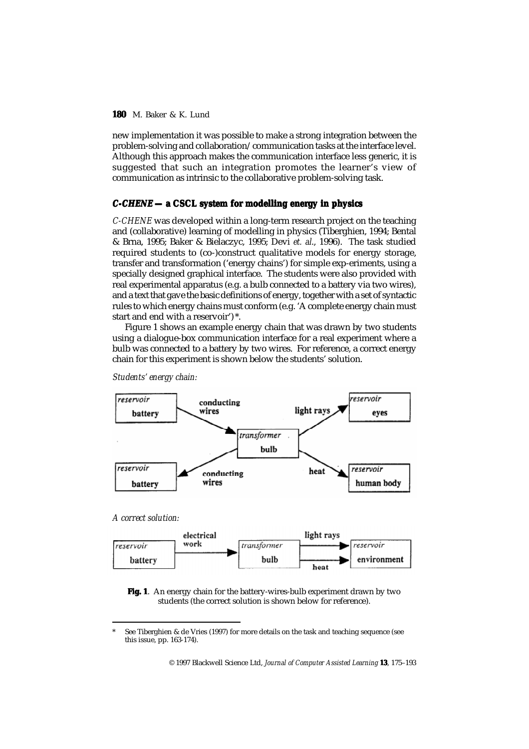new implementation it was possible to make a strong integration between the problem-solving and collaboration/communication tasks at the interface level. Although this approach makes the communication interface less generic, it is suggested that such an integration promotes the learner's view of communication as intrinsic to the collaborative problem-solving task.

# *C-CHENE* **— a CSCL system for modelling energy in physics**

*C-CHENE* was developed within a long-term research project on the teaching and (collaborative) learning of modelling in physics (Tiberghien, 1994; Bental & Brna, 1995; Baker & Bielaczyc, 1995; Devi *et. al*., 1996). The task studied required students to (co-)construct qualitative models for energy storage, transfer and transformation ('energy chains') for simple exp-eriments, using a specially designed graphical interface. The students were also provided with real experimental apparatus (e.g. a bulb connected to a battery via two wires), and a text that gave the basic definitions of energy, together with a set of syntactic rules to which energy chains must conform (e.g. 'A complete energy chain must start and end with a reservoir') \*.

Figure 1 shows an example energy chain that was drawn by two students using a dialogue-box communication interface for a real experiment where a bulb was connected to a battery by two wires. For reference, a correct energy chain for this experiment is shown below the students' solution.



*Students' energy chain:*

*A correct solution:*



**Fig. 1**. An energy chain for the battery-wires-bulb experiment drawn by two students (the correct solution is shown below for reference).

See Tiberghien & de Vries (1997) for more details on the task and teaching sequence (see this issue, pp. 163-174).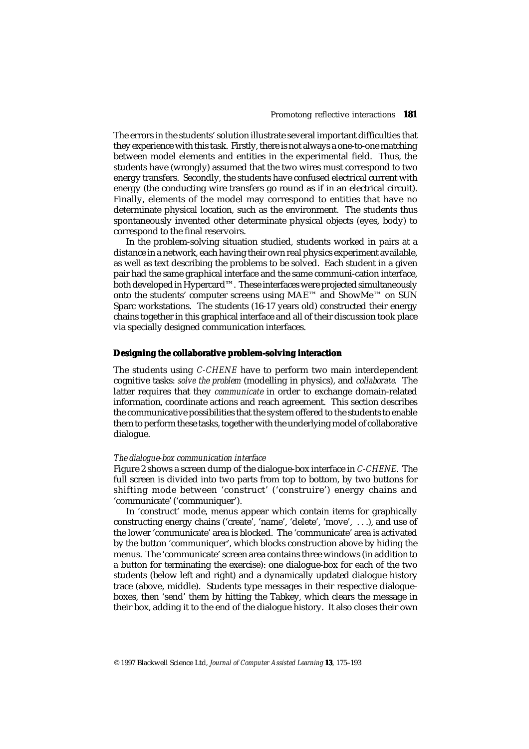The errors in the students' solution illustrate several important difficulties that they experience with this task. Firstly, there is not always a one-to-one matching between model elements and entities in the experimental field. Thus, the students have (wrongly) assumed that the two wires must correspond to two energy transfers. Secondly, the students have confused electrical current with energy (the conducting wire transfers go round as if in an electrical circuit). Finally, elements of the model may correspond to entities that have no determinate physical location, such as the environment. The students thus spontaneously invented other determinate physical objects (eyes, body) to correspond to the final reservoirs.

In the problem-solving situation studied, students worked in pairs at a distance in a network, each having their own real physics experiment available, as well as text describing the problems to be solved. Each student in a given pair had the same graphical interface and the same communi-cation interface, both developed in Hypercard™. These interfaces were projected simultaneously onto the students' computer screens using MAE™ and ShowMe™ on SUN Sparc workstations. The students (16-17 years old) constructed their energy chains together in this graphical interface and all of their discussion took place via specially designed communication interfaces.

## **Designing the collaborative problem-solving interaction**

The students using *C-CHENE* have to perform two main interdependent cognitive tasks: *solve the problem* (modelling in physics), and *collaborate*. The latter requires that they *communicate* in order to exchange domain-related information, coordinate actions and reach agreement. This section describes the communicative possibilities that the system offered to the students to enable them to perform these tasks, together with the underlying model of collaborative dialogue.

#### *The dialogue-box communication interface*

Figure 2 shows a screen dump of the dialogue-box interface in *C-CHENE*. The full screen is divided into two parts from top to bottom, by two buttons for shifting mode between 'construct' ('construire') energy chains and 'communicate' ('communiquer').

In 'construct' mode, menus appear which contain items for graphically constructing energy chains ('create', 'name', 'delete', 'move', . . .), and use of the lower 'communicate' area is blocked. The 'communicate' area is activated by the button 'communiquer', which blocks construction above by hiding the menus. The 'communicate' screen area contains three windows (in addition to a button for terminating the exercise): one dialogue-box for each of the two students (below left and right) and a dynamically updated dialogue history trace (above, middle). Students type messages in their respective dialogueboxes, then 'send' them by hitting the Tabkey, which clears the message in their box, adding it to the end of the dialogue history. It also closes their own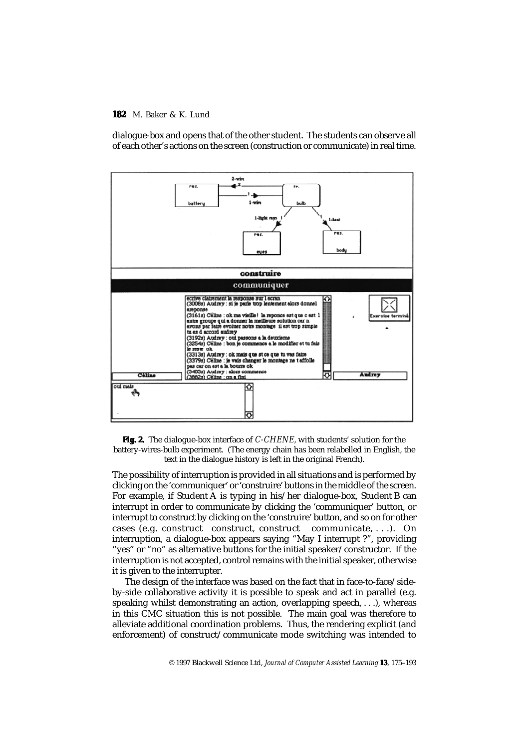dialogue-box and opens that of the other student. The students can observe all of each other's actions on the screen (construction or communicate) in real time.



**Fig. 2. Fig. 2.** The dialogue-box interface of *C-CHENE*, with students' solution for the battery-wires-bulb experiment. (The energy chain has been relabelled in English, the text in the dialogue history is left in the original French).

The possibility of interruption is provided in all situations and is performed by clicking on the 'communiquer' or 'construire' buttons in the middle of the screen. For example, if Student A is typing in his/her dialogue-box, Student B can interrupt in order to communicate by clicking the 'communiquer' button, or interrupt to construct by clicking on the 'construire' button, and so on for other cases (e.g. construct construct, construct communicate, . . .). On interruption, a dialogue-box appears saying "May I interrupt ?", providing "yes" or "no" as alternative buttons for the initial speaker/constructor. If the interruption is not accepted, control remains with the initial speaker, otherwise it is given to the interrupter.

The design of the interface was based on the fact that in face-to-face/sideby-side collaborative activity it is possible to speak and act in parallel (e.g. speaking whilst demonstrating an action, overlapping speech, . . .), whereas in this CMC situation this is not possible. The main goal was therefore to alleviate additional coordination problems. Thus, the rendering explicit (and enforcement) of construct/communicate mode switching was intended to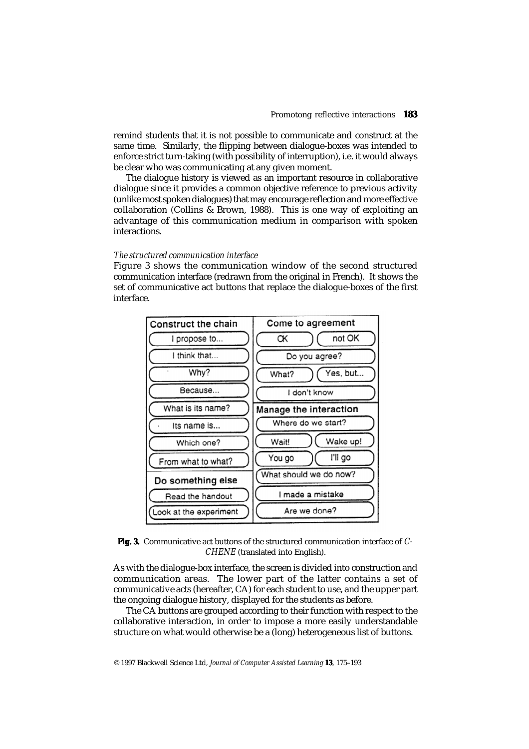remind students that it is not possible to communicate and construct at the same time. Similarly, the flipping between dialogue-boxes was intended to enforce strict turn-taking (with possibility of interruption), i.e. it would always be clear who was communicating at any given moment.

The dialogue history is viewed as an important resource in collaborative dialogue since it provides a common objective reference to previous activity (unlike most spoken dialogues) that may encourage reflection and more effective collaboration (Collins & Brown, 1988). This is one way of exploiting an advantage of this communication medium in comparison with spoken interactions.

## *The structured communication interface*

Figure 3 shows the communication window of the second structured communication interface (redrawn from the original in French). It shows the set of communicative act buttons that replace the dialogue-boxes of the first interface.



Fig. 3. Communicative act buttons of the structured communication interface of C-*CHENE* (translated into English).

As with the dialogue-box interface, the screen is divided into construction and communication areas. The lower part of the latter contains a set of communicative acts (hereafter, CA) for each student to use, and the upper part the ongoing dialogue history, displayed for the students as before.

The CA buttons are grouped according to their function with respect to the collaborative interaction, in order to impose a more easily understandable structure on what would otherwise be a (long) heterogeneous list of buttons.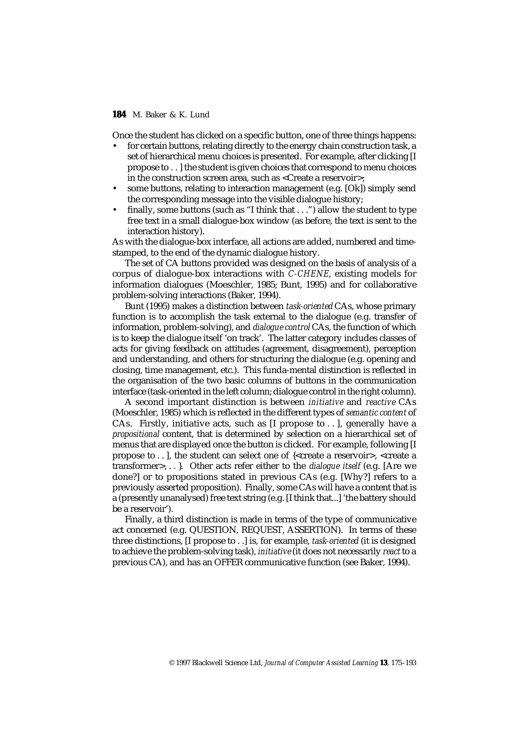Once the student has clicked on a specific button, one of three things happens:

- for certain buttons, relating directly to the energy chain construction task, a set of hierarchical menu choices is presented. For example, after clicking [I propose to . . ] the student is given choices that correspond to menu choices in the construction screen area, such as <Create a reservoir>;
- some buttons, relating to interaction management (e.g. [Ok]) simply send the corresponding message into the visible dialogue history;
- finally, some buttons (such as "I think that  $\ldots$ ") allow the student to type free text in a small dialogue-box window (as before, the text is sent to the interaction history).

As with the dialogue-box interface, all actions are added, numbered and timestamped, to the end of the dynamic dialogue history.

The set of CA buttons provided was designed on the basis of analysis of a corpus of dialogue-box interactions with *C-CHENE*, existing models for information dialogues (Moeschler, 1985; Bunt, 1995) and for collaborative problem-solving interactions (Baker, 1994).

Bunt (1995) makes a distinction between *task-oriented* CAs, whose primary function is to accomplish the task external to the dialogue (e.g. transfer of information, problem-solving), and *dialogue control* CAs, the function of which is to keep the dialogue itself 'on track'. The latter category includes classes of acts for giving feedback on attitudes (agreement, disagreement), perception and understanding, and others for structuring the dialogue (e.g. opening and closing, time management, etc.). This funda-mental distinction is reflected in the organisation of the two basic columns of buttons in the communication interface (task-oriented in the left column; dialogue control in the right column).

A second important distinction is between *initiative* and *reactive* CAs (Moeschler, 1985) which is reflected in the different types of *semantic content* of CAs. Firstly, initiative acts, such as  $[I]$  propose to . . ], generally have a *propositional* content, that is determined by selection on a hierarchical set of menus that are displayed once the button is clicked. For example, following [I propose to . . ], the student can select one of {<create a reservoir>, <create a transformer>, . . }. Other acts refer either to the *dialogue itself* (e.g. [Are we done?] or to propositions stated in previous CAs (e.g. [Why?] refers to a previously asserted proposition). Finally, some CAs will have a content that is a (presently unanalysed) free text string (e.g. [I think that...] 'the battery should be a reservoir').

Finally, a third distinction is made in terms of the type of communicative act concerned (e.g. QUESTION, REQUEST, ASSERTION). In terms of these three distinctions, [I propose to . .] is, for example, *task-oriented* (it is designed to achieve the problem-solving task), *initiative* (it does not necessarily *react* to a previous CA), and has an OFFER communicative function (see Baker, 1994).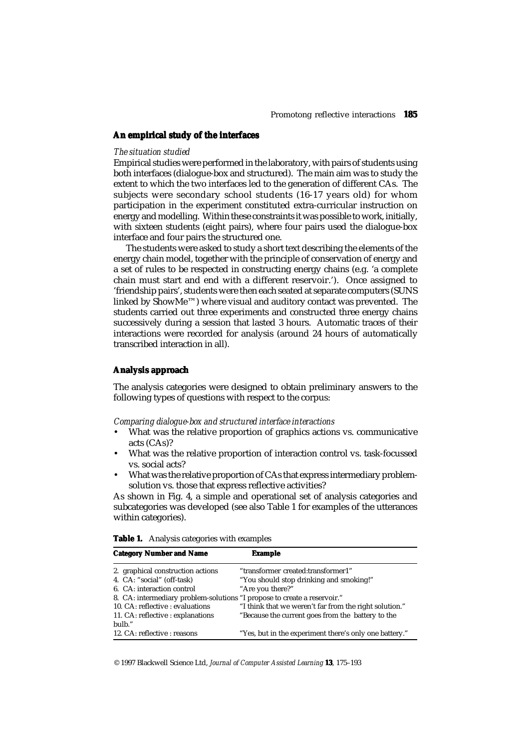## **An empirical study of the interfaces**

## *The situation studied*

Empirical studies were performed in the laboratory, with pairs of students using both interfaces (dialogue-box and structured). The main aim was to study the extent to which the two interfaces led to the generation of different CAs. The subjects were secondary school students (16-17 years old) for whom participation in the experiment constituted extra-curricular instruction on energy and modelling. Within these constraints it was possible to work, initially, with sixteen students (eight pairs), where four pairs used the dialogue-box interface and four pairs the structured one.

The students were asked to study a short text describing the elements of the energy chain model, together with the principle of conservation of energy and a set of rules to be respected in constructing energy chains (e.g. 'a complete chain must start and end with a different reservoir.'). Once assigned to 'friendship pairs', students were then each seated at separate computers (SUNS linked by ShowMe™) where visual and auditory contact was prevented. The students carried out three experiments and constructed three energy chains successively during a session that lasted 3 hours. Automatic traces of their interactions were recorded for analysis (around 24 hours of automatically transcribed interaction in all).

# **Analysis approach**

The analysis categories were designed to obtain preliminary answers to the following types of questions with respect to the corpus:

*Comparing dialogue-box and structured interface interactions*

- What was the relative proportion of graphics actions vs. communicative acts (CAs)?
- What was the relative proportion of interaction control vs. task-focussed vs. social acts?
- What was the relative proportion of CAs that express intermediary problemsolution vs. those that express reflective activities?

As shown in Fig. 4, a simple and operational set of analysis categories and subcategories was developed (see also Table 1 for examples of the utterances within categories).

| <b>Category Number and Name</b>                                          | <b>Example</b>                                         |
|--------------------------------------------------------------------------|--------------------------------------------------------|
| 2. graphical construction actions                                        | "transformer created:transformer1"                     |
| 4. CA: "social" (off-task)                                               | "You should stop drinking and smoking!"                |
| 6. CA: interaction control                                               | "Are you there?"                                       |
| 8. CA: intermediary problem-solutions "I propose to create a reservoir." |                                                        |
| 10. CA: reflective : evaluations                                         | "I think that we weren't far from the right solution." |
| 11. CA: reflective : explanations                                        | "Because the current goes from the battery to the      |
| bulb."                                                                   |                                                        |
| 12. CA: reflective : reasons                                             | "Yes, but in the experiment there's only one battery." |

**Table 1. Table 1.** Analysis categories with examples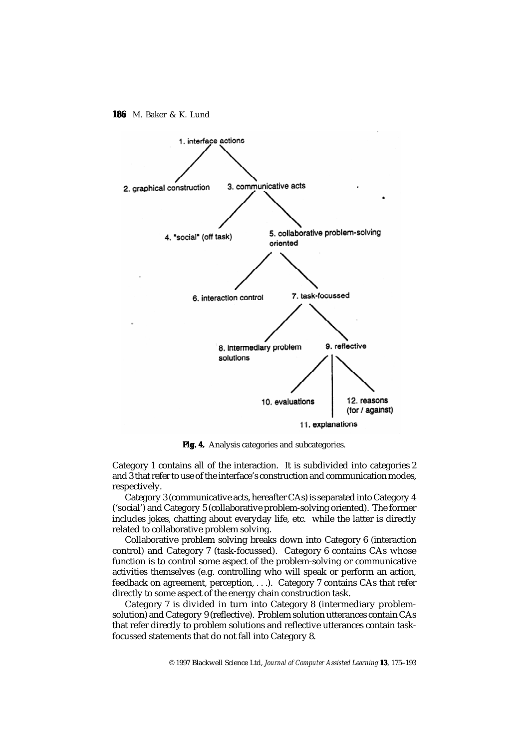



Fig. 4. Analysis categories and subcategories.

Category 1 contains all of the interaction. It is subdivided into categories 2 and 3 that refer to use of the interface's construction and communication modes, respectively.

Category 3 (communicative acts, hereafter CAs) is separated into Category 4 ('social') and Category 5 (collaborative problem-solving oriented). The former includes jokes, chatting about everyday life, etc. while the latter is directly related to collaborative problem solving.

Collaborative problem solving breaks down into Category 6 (interaction control) and Category 7 (task-focussed). Category 6 contains CAs whose function is to control some aspect of the problem-solving or communicative activities themselves (e.g. controlling who will speak or perform an action, feedback on agreement, perception, . . .). Category 7 contains CAs that refer directly to some aspect of the energy chain construction task.

Category 7 is divided in turn into Category 8 (intermediary problemsolution) and Category 9 (reflective). Problem solution utterances contain CAs that refer directly to problem solutions and reflective utterances contain taskfocussed statements that do not fall into Category 8.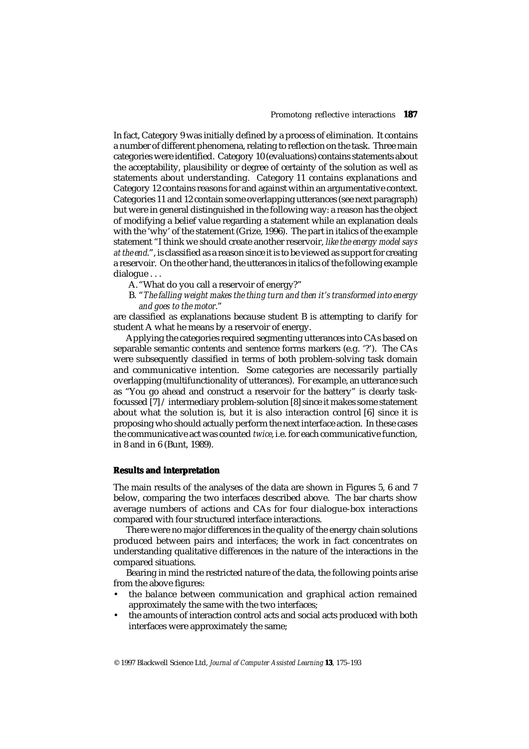In fact, Category 9 was initially defined by a process of elimination. It contains a number of different phenomena, relating to reflection on the task. Three main categories were identified. Category 10 (evaluations) contains statements about the acceptability, plausibility or degree of certainty of the solution as well as statements about understanding. Category 11 contains explanations and Category 12 contains reasons for and against within an argumentative context. Categories 11 and 12 contain some overlapping utterances (see next paragraph) but were in general distinguished in the following way: a reason has the object of modifying a belief value regarding a statement while an explanation deals with the 'why' of the statement (Grize, 1996). The part in italics of the example statement "I think we should create another reservoir, *like the energy model says at the end*.", is classified as a reason since it is to be viewed as support for creating a reservoir. On the other hand, the utterances in italics of the following example dialogue . . .

A."What do you call a reservoir of energy?"

B. "*The falling weight makes the thing turn and then it's transformed into energy and goes to the motor*."

are classified as explanations because student B is attempting to clarify for student A what he means by a reservoir of energy.

Applying the categories required segmenting utterances into CAs based on separable semantic contents and sentence forms markers (e.g. '?'). The CAs were subsequently classified in terms of both problem-solving task domain and communicative intention. Some categories are necessarily partially overlapping (multifunctionality of utterances). For example, an utterance such as "You go ahead and construct a reservoir for the battery" is clearly taskfocussed [7] / intermediary problem-solution [8] since it makes some statement about what the solution is, but it is also interaction control [6] since it is proposing who should actually perform the next interface action. In these cases the communicative act was counted *twice*, i.e. for each communicative function, in 8 and in 6 (Bunt, 1989).

## **Results and interpretation**

The main results of the analyses of the data are shown in Figures 5, 6 and 7 below, comparing the two interfaces described above. The bar charts show average numbers of actions and CAs for four dialogue-box interactions compared with four structured interface interactions.

There were no major differences in the quality of the energy chain solutions produced between pairs and interfaces; the work in fact concentrates on understanding qualitative differences in the nature of the interactions in the compared situations.

Bearing in mind the restricted nature of the data, the following points arise from the above figures:

- the balance between communication and graphical action remained approximately the same with the two interfaces;
- the amounts of interaction control acts and social acts produced with both interfaces were approximately the same;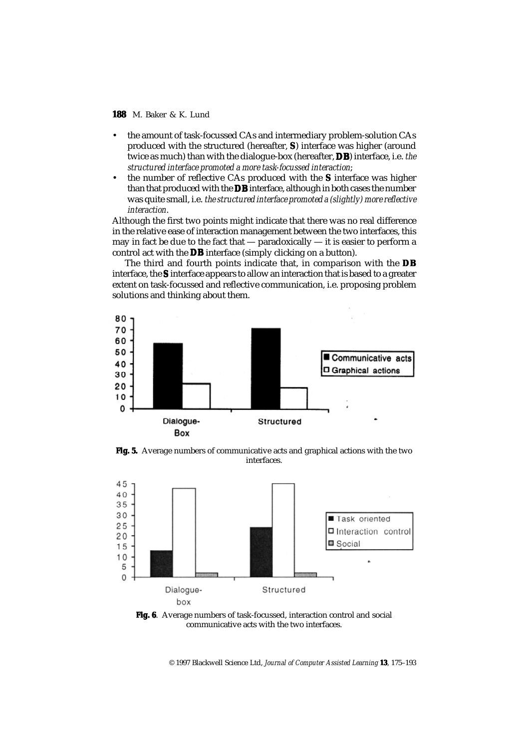- the amount of task-focussed CAs and intermediary problem-solution CAs produced with the structured (hereafter, **S**) interface was higher (around twice as much) than with the dialogue-box (hereafter, **DB**) interface, i.e. *the structured interface promoted a more task-focussed interaction*;
- the number of reflective CAs produced with the **S** interface was higher than that produced with the **DB** interface, although in both cases the number was quite small, i.e. *the structured interface promoted a (slightly) more reflective interaction*.

Although the first two points might indicate that there was no real difference in the relative ease of interaction management between the two interfaces, this may in fact be due to the fact that  $-$  paradoxically  $-$  it is easier to perform a control act with the **DB** interface (simply clicking on a button).

The third and fourth points indicate that, in comparison with the **DB** interface, the **S** interface appears to allow an interaction that is based to a greater extent on task-focussed and reflective communication, i.e. proposing problem solutions and thinking about them.



Fig. 5. Average numbers of communicative acts and graphical actions with the two interfaces.



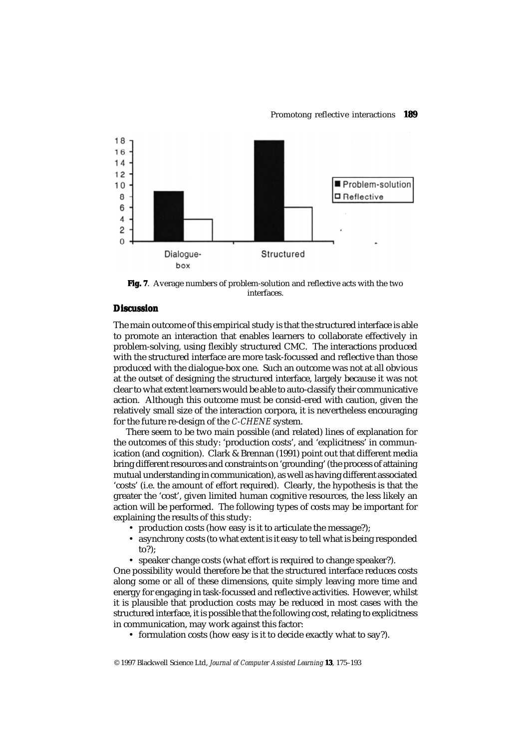

**Fig. 7**. Average numbers of problem-solution and reflective acts with the two interfaces.

# **Discussion**

The main outcome of this empirical study is that the structured interface is able to promote an interaction that enables learners to collaborate effectively in problem-solving, using flexibly structured CMC. The interactions produced with the structured interface are more task-focussed and reflective than those produced with the dialogue-box one. Such an outcome was not at all obvious at the outset of designing the structured interface, largely because it was not clear to what extent learners would be able to auto-classify their communicative action. Although this outcome must be consid-ered with caution, given the relatively small size of the interaction corpora, it is nevertheless encouraging for the future re-design of the *C-CHENE* system.

There seem to be two main possible (and related) lines of explanation for the outcomes of this study: 'production costs', and 'explicitness' in communication (and cognition). Clark & Brennan (1991) point out that different media bring different resources and constraints on 'grounding' (the process of attaining mutual understanding in communication), as well as having different associated 'costs' (i.e. the amount of effort required). Clearly, the hypothesis is that the greater the 'cost', given limited human cognitive resources, the less likely an action will be performed. The following types of costs may be important for explaining the results of this study:

- production costs (how easy is it to articulate the message?);
- asynchrony costs (to what extent is it easy to tell what is being responded to?);
- speaker change costs (what effort is required to change speaker?).

One possibility would therefore be that the structured interface reduces costs along some or all of these dimensions, quite simply leaving more time and energy for engaging in task-focussed and reflective activities. However, whilst it is plausible that production costs may be reduced in most cases with the structured interface, it is possible that the following cost, relating to explicitness in communication, may work against this factor:

• formulation costs (how easy is it to decide exactly what to say?).

<sup>© 1997</sup> Blackwell Science Ltd, *Journal of Computer Assisted Learning* **13**, 175–193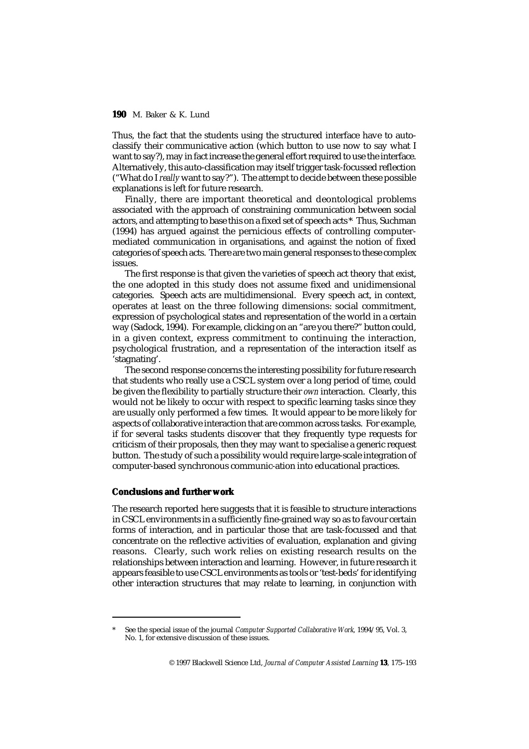Thus, the fact that the students using the structured interface have to autoclassify their communicative action (which button to use now to say what I want to say?), may in fact increase the general effort required to use the interface. Alternatively, this auto-classification may itself trigger task-focussed reflection ("What do I *really* want to say?"). The attempt to decide between these possible explanations is left for future research.

Finally, there are important theoretical and deontological problems associated with the approach of constraining communication between social actors, and attempting to base this on a fixed set of speech acts \*. Thus, Suchman (1994) has argued against the pernicious effects of controlling computermediated communication in organisations, and against the notion of fixed categories of speech acts. There are two main general responses to these complex issues.

The first response is that given the varieties of speech act theory that exist, the one adopted in this study does not assume fixed and unidimensional categories. Speech acts are multidimensional. Every speech act, in context, operates at least on the three following dimensions: social commitment, expression of psychological states and representation of the world in a certain way (Sadock, 1994). For example, clicking on an "are you there?" button could, in a given context, express commitment to continuing the interaction, psychological frustration, and a representation of the interaction itself as 'stagnating'.

The second response concerns the interesting possibility for future research that students who really use a CSCL system over a long period of time, could be given the flexibility to partially structure their *own* interaction. Clearly, this would not be likely to occur with respect to specific learning tasks since they are usually only performed a few times. It would appear to be more likely for aspects of collaborative interaction that are common across tasks. For example, if for several tasks students discover that they frequently type requests for criticism of their proposals, then they may want to specialise a generic request button. The study of such a possibility would require large-scale integration of computer-based synchronous communic-ation into educational practices.

## **Conclusions and further work**

The research reported here suggests that it is feasible to structure interactions in CSCL environments in a sufficiently fine-grained way so as to favour certain forms of interaction, and in particular those that are task-focussed and that concentrate on the reflective activities of evaluation, explanation and giving reasons. Clearly, such work relies on existing research results on the relationships between interaction and learning. However, in future research it appears feasible to use CSCL environments as tools or 'test-beds' for identifying other interaction structures that may relate to learning, in conjunction with

<sup>\*</sup> See the special issue of the journal *Computer Supported Collaborative Work*, 1994/95, Vol. 3, No. 1, for extensive discussion of these issues.

<sup>© 1997</sup> Blackwell Science Ltd, *Journal of Computer Assisted Learning* **13**, 175–193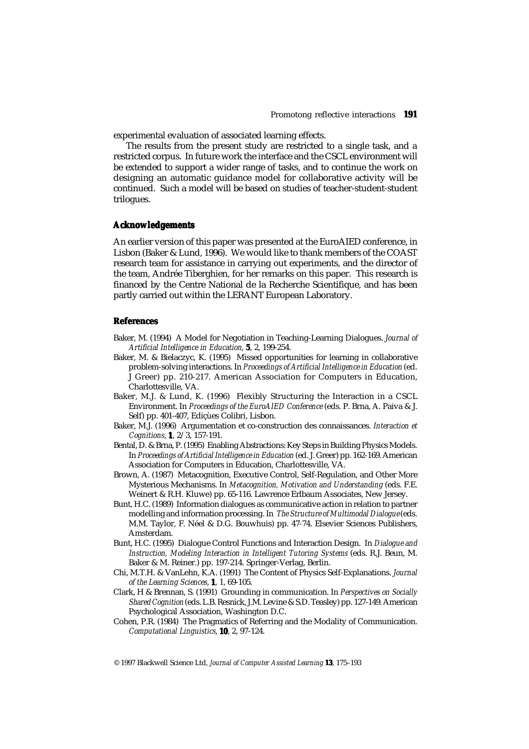experimental evaluation of associated learning effects.

The results from the present study are restricted to a single task, and a restricted corpus. In future work the interface and the CSCL environment will be extended to support a wider range of tasks, and to continue the work on designing an automatic guidance model for collaborative activity will be continued. Such a model will be based on studies of teacher-student-student trilogues.

# **Acknowledgements**

An earlier version of this paper was presented at the EuroAIED conference, in Lisbon (Baker & Lund, 1996). We would like to thank members of the COAST research team for assistance in carrying out experiments, and the director of the team, Andrée Tiberghien, for her remarks on this paper. This research is financed by the Centre National de la Recherche Scientifique, and has been partly carried out within the LERANT European Laboratory.

#### **References**

- Baker, M. (1994) A Model for Negotiation in Teaching-Learning Dialogues. *Journal of Artificial Intelligence in Education*, **5**, 2, 199-254.
- Baker, M. & Bielaczyc, K. (1995) Missed opportunities for learning in collaborative problem-solving interactions. In *Proceedings of Artificial Intelligence in Education* (ed. J Greer) pp. 210-217. American Association for Computers in Education, Charlottesville, VA.
- Baker, M.J. & Lund, K. (1996) Flexibly Structuring the Interaction in a CSCL Environment. In *Proceedings of the EuroAIED Conference* (eds. P. Brna, A. Paiva & J. Self) pp. 401-407, Ediçùes Colibri, Lisbon.
- Baker, M.J. (1996) Argumentation et co-construction des connaissances. *Interaction et Cognitions*, **1**, 2/3, 157-191.
- Bental, D. & Brna, P. (1995) Enabling Abstractions: Key Steps in Building Physics Models. In *Proceedings of Artificial Intelligence in Education* (ed. J. Greer) pp. 162-169. American Association for Computers in Education, Charlottesville, VA.
- Brown, A. (1987) Metacognition, Executive Control, Self-Regulation, and Other More Mysterious Mechanisms. In *Metacognition, Motivation and Understanding* (eds. F.E. Weinert & R.H. Kluwe) pp. 65-116. Lawrence Erlbaum Associates, New Jersey.
- Bunt, H.C. (1989) Information dialogues as communicative action in relation to partner modelling and information processing. In *The Structure of Multimodal Dialogue* (eds. M.M. Taylor, F. Néel & D.G. Bouwhuis) pp. 47-74. Elsevier Sciences Publishers, Amsterdam.
- Bunt, H.C. (1995) Dialogue Control Functions and Interaction Design. In *Dialogue and Instruction, Modeling Interaction in Intelligent Tutoring Systems* (eds. R.J. Beun, M. Baker & M. Reiner.) pp. 197-214. Springer-Verlag, Berlin.
- Chi, M.T.H. & VanLehn, K.A. (1991) The Content of Physics Self-Explanations. *Journal of the Learning Sciences*, **1**, 1, 69-105.
- Clark, H & Brennan, S. (1991) Grounding in communication. In *Perspectives on Socially Shared Cognition* (eds. L.B. Resnick, J.M. Levine & S.D. Teasley) pp. 127-149. American Psychological Association, Washington D.C.
- Cohen, P.R. (1984) The Pragmatics of Referring and the Modality of Communication. *Computational Linguistics*, **10**, 2, 97-124.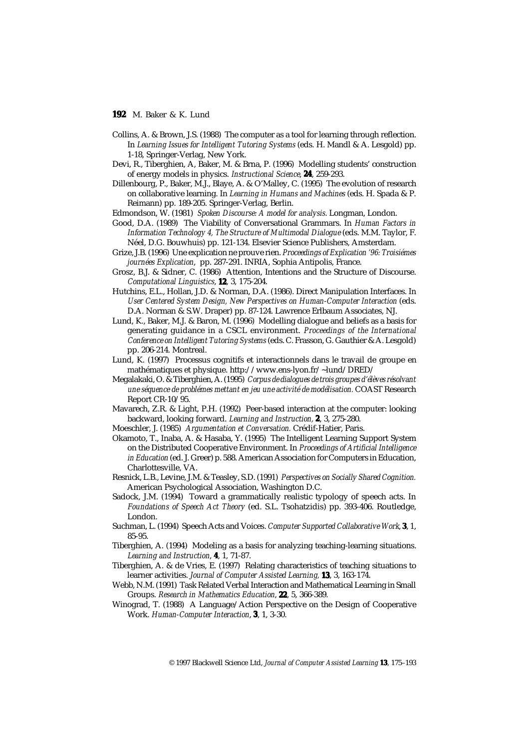- Collins, A. & Brown, J.S. (1988) The computer as a tool for learning through reflection. In *Learning Issues for Intelligent Tutoring Systems* (eds. H. Mandl & A. Lesgold) pp. 1-18, Springer-Verlag, New York.
- Devi, R., Tiberghien, A, Baker, M. & Brna, P. (1996) Modelling students' construction of energy models in physics. *Instructional Science*, **24**, 259-293.
- Dillenbourg, P., Baker, M.J., Blaye, A. & O'Malley, C. (1995) The evolution of research on collaborative learning. In *Learning in Humans and Machines* (eds. H. Spada & P. Reimann) pp. 189-205. Springer-Verlag, Berlin.
- Edmondson, W. (1981) *Spoken Discourse: A model for analysis*. Longman, London.
- Good, D.A. (1989) The Viability of Conversational Grammars. In *Human Factors in Information Technology 4, The Structure of Multimodal Dialogue* (eds. M.M. Taylor, F. Néel, D.G. Bouwhuis) pp. 121-134. Elsevier Science Publishers, Amsterdam.
- Grize, J.B. (1996) Une explication ne prouve rien. *Proceedings of Explication '96: Troisiémes journées Explication*, pp. 287-291. INRIA, Sophia Antipolis, France.
- Grosz, B.J. & Sidner, C. (1986) Attention, Intentions and the Structure of Discourse. *Computational Linguistics*, **12**, 3, 175-204.
- Hutchins, E.L., Hollan, J.D. & Norman, D.A. (1986). Direct Manipulation Interfaces. In *User Centered System Design, New Perspectives on Human-Computer Interaction* (eds. D.A. Norman & S.W. Draper) pp. 87-124. Lawrence Erlbaum Associates, NJ.
- Lund, K., Baker, M.J. & Baron, M. (1996) Modelling dialogue and beliefs as a basis for generating guidance in a CSCL environment. *Proceedings of the International Conference on Intelligent Tutoring Systems* (eds. C. Frasson, G. Gauthier & A. Lesgold) pp. 206-214. Montreal.
- Lund, K. (1997) Processus cognitifs et interactionnels dans le travail de groupe en mathématiques et physique. http://www.ens-lyon.fr/~lund/DRED/
- Megalakaki, O. & Tiberghien, A. (1995) *Corpus de dialogues de trois groupes d'élèves résolvant une séquence de problémes mettant en jeu une activité de modélisation.* COAST Research Report CR-10/95.
- Mavarech, Z.R. & Light, P.H. (1992) Peer-based interaction at the computer: looking backward, looking forward. *Learning and Instruction,* **2**, 3, 275-280.
- Moeschler, J. (1985) *Argumentation et Conversation.* Crédif-Hatier, Paris.
- Okamoto, T., Inaba, A. & Hasaba, Y. (1995) The Intelligent Learning Support System on the Distributed Cooperative Environment. In *Proceedings of Artificial Intelligence in Education* (ed. J. Greer) p. 588. American Association for Computers in Education, Charlottesville, VA.
- Resnick, L.B., Levine, J.M. & Teasley, S.D. (1991) *Perspectives on Socially Shared Cognition.* American Psychological Association, Washington D.C.
- Sadock, J.M. (1994) Toward a grammatically realistic typology of speech acts. In *Foundations of Speech Act Theory* (ed. S.L. Tsohatzidis) pp. 393-406. Routledge, London.
- Suchman, L. (1994) Speech Acts and Voices. *Computer Supported Collaborative Work*, **3**, 1, 85-95.
- Tiberghien, A. (1994) Modeling as a basis for analyzing teaching-learning situations. *Learning and Instruction*, **4**, 1, 71-87.
- Tiberghien, A. & de Vries, E. (1997) Relating characteristics of teaching situations to learner activities. *Journal of Computer Assisted Learning,* **13**, 3, 163-174.
- Webb, N.M. (1991) Task Related Verbal Interaction and Mathematical Learning in Small Groups. *Research in Mathematics Education*, **22**, 5, 366-389.
- Winograd, T. (1988) A Language/Action Perspective on the Design of Cooperative Work. *Human-Computer Interaction*, **3**, 1, 3-30.